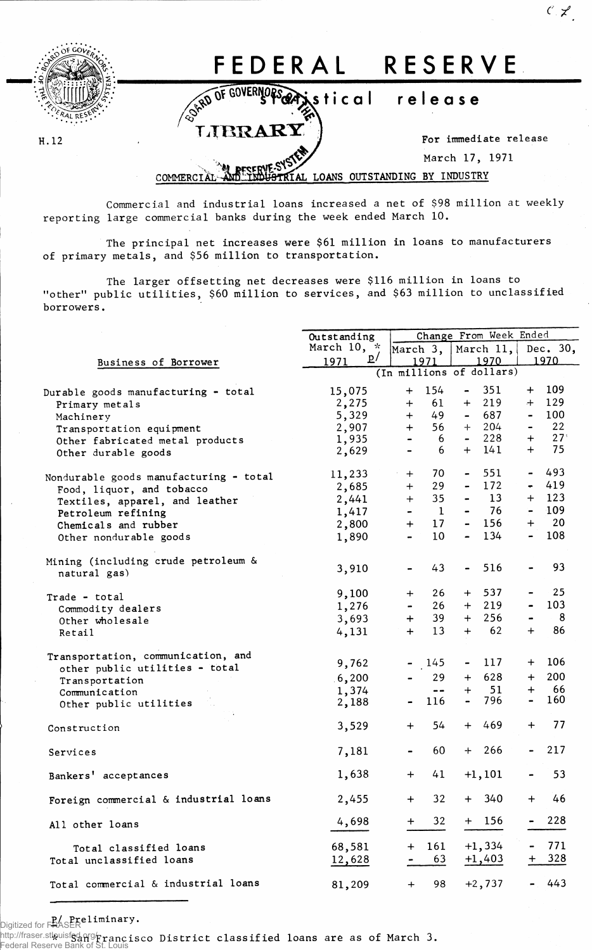

H.12

## FEDERAL RESERVE

OF GOVERNORS GRASIS tical release

LIBRARY

For immediate release

 $C \nmid Z$ 

March 17, 1971

## LOANS OUTSTANDING BY INDUSTRY COMMERCI

Commercial and industrial loans increased a net of \$98 million at weekly reporting large commercial banks during the week ended March 10.

The principal net increases were \$61 million in loans to manufacturers of primary metals, and \$56 million to transportation.

The larger offsetting net decreases were \$116 million in loans to "other" public utilities, \$60 million to services, and \$63 million to unclassified borrowers.

|                                        | Outstanding              |                |                                     | Change From Week Ended |           |                                     |                |  |  |
|----------------------------------------|--------------------------|----------------|-------------------------------------|------------------------|-----------|-------------------------------------|----------------|--|--|
|                                        | March $10, *$            | March $3,  $   |                                     | March $11,$            |           | Dec. 30,                            |                |  |  |
| Business of Borrower                   | $\mathbf{p}$<br>1971     | 1970<br>1971   |                                     |                        |           | 1970                                |                |  |  |
|                                        | (In millions of dollars) |                |                                     |                        |           |                                     |                |  |  |
| Durable goods manufacturing - total    | 15,075                   | $+$            | 154                                 | $\blacksquare$         | 351       | $+$                                 | 109            |  |  |
| Primary metals                         | 2,275                    | $+$            | 61                                  | $+$                    | 219       | $+$                                 | 129            |  |  |
| Machinery                              | 5,329                    | $+$            | 49                                  | $\sim$                 | 687       | $\overline{\phantom{0}}$            | 100            |  |  |
| Transportation equipment               | 2,907                    | $+$            | 56                                  | $+$                    | 204       | $\blacksquare$                      | 22             |  |  |
| Other fabricated metal products        | 1,935                    | $\blacksquare$ | 6                                   | $\sim$                 | 228       | $+$                                 | $27^\circ$     |  |  |
| Other durable goods                    | 2,629                    | $\blacksquare$ | 6                                   |                        | $+ 141$   | $+$                                 | 75             |  |  |
| Nondurable goods manufacturing - total | 11,233                   | $+$            | 70                                  | $\sim$                 | 551       |                                     | $-493$         |  |  |
| Food, liquor, and tobacco              | 2,685                    | $+$            | 29                                  |                        | 172       |                                     | 419            |  |  |
| Textiles, apparel, and leather         | 2,441                    | $+$            | 35                                  |                        | 13        |                                     | $+ 123$        |  |  |
| Petroleum refining                     | 1,417                    |                | $\mathbf{1}$                        |                        | 76        | $\blacksquare$                      | $-109$         |  |  |
| Chemicals and rubber                   | 2,800                    | $+$            | 17                                  |                        | $-156$    | $+$                                 | 20             |  |  |
| Other nondurable goods                 | 1,890                    |                | 10                                  |                        | 134       | $\blacksquare$                      | 108            |  |  |
| Mining (including crude petroleum &    |                          |                | 43                                  | $\frac{1}{2}$          | 516       |                                     | 93             |  |  |
| natural gas)                           | 3,910                    |                |                                     |                        |           |                                     |                |  |  |
| Trade - total                          | 9,100                    | $+$            | 26                                  | $+$                    | 537       |                                     | 25             |  |  |
| Commodity dealers                      | 1,276                    |                | 26                                  | $+$                    | 219       |                                     | 103            |  |  |
| Other wholesale                        | 3,693                    | $+$            | 39                                  | $+$                    | 256       |                                     | 8 <sub>8</sub> |  |  |
| Retail                                 | 4,131                    | $+$            | 13                                  | $+$                    | 62        | $+$                                 | 86             |  |  |
| Transportation, communication, and     |                          |                | 145                                 |                        | 117       |                                     | $+ 106$        |  |  |
| other public utilities - total         | 9,762                    |                |                                     |                        |           |                                     |                |  |  |
| Transportation                         | 6,200                    |                | 29                                  | $+$                    | 628       | $+$                                 | 200            |  |  |
| Communication                          | 1,374                    |                | $\qquad \qquad \blacksquare$<br>116 | $+$                    | 51<br>796 | $+$<br>$\qquad \qquad \blacksquare$ | -66<br>160     |  |  |
| Other public utilities                 | 2,188                    |                |                                     |                        |           |                                     |                |  |  |
| Construction                           | 3,529                    | $+$            | 54                                  | $+$                    | 469       | $\ddot{}$                           | 77             |  |  |
| Services                               | 7,181                    |                | 60                                  | $+$                    | - 266     |                                     | 217            |  |  |
| Bankers' acceptances                   | 1,638                    | $+$            | 41                                  |                        | $+1,101$  |                                     | 53             |  |  |
| Foreign commercial & industrial loans  | 2,455                    | $+$ $-$        | 32                                  |                        | $+ 340$   | $+$                                 | 46             |  |  |
| All other loans                        | 4,698                    | $\pm$          | 32                                  |                        | $+ 156$   |                                     | 228            |  |  |
| Total classified loans                 | 68,581                   | $\bm{+}$       | 161                                 |                        | $+1,334$  |                                     | 771            |  |  |
| Total unclassified loans               | 12,628                   |                | 63                                  |                        | $+1,403$  | $\pm$                               | 328            |  |  |
| Total commercial & industrial loans    | 81,209                   | $\div$         | 98                                  |                        | $+2,737$  |                                     | 443            |  |  |

Digitized for FRASER<br>Unitized for FRASER

http://fraser.stlauisfs $\frac{1}{2}$ ng $\frac{1}{2}$ rancisco District classified loans are as of March 3. Federal Reserve B